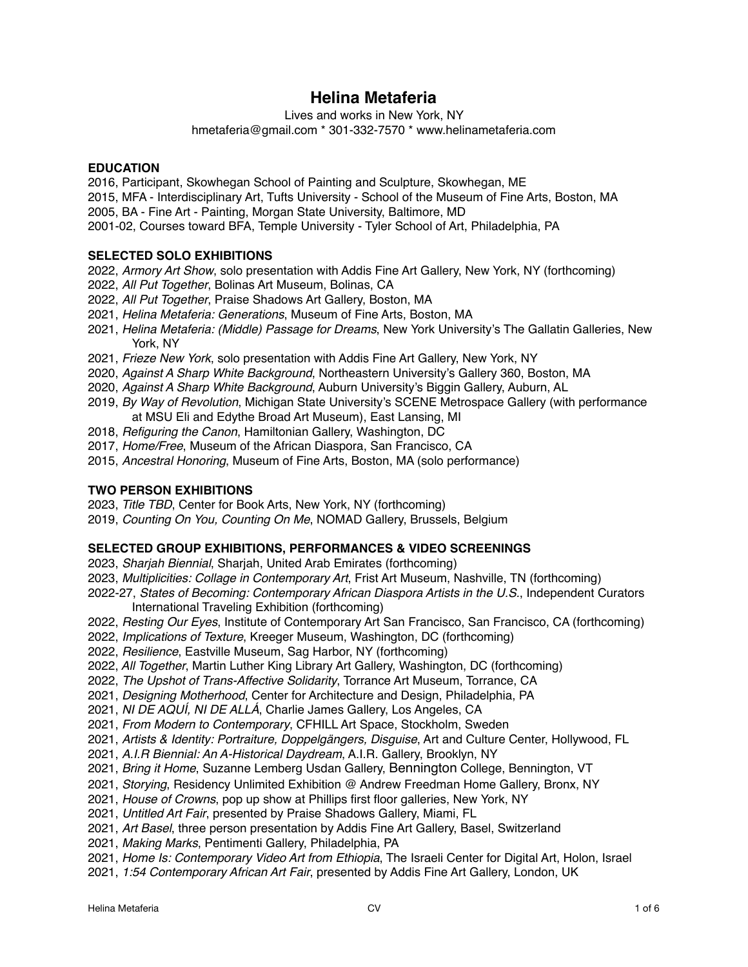# **Helina Metaferia**

Lives and works in New York, NY

hmetaferia@gmail.com \* 301-332-7570 \* www.helinametaferia.com

# **EDUCATION**

2016, Participant, Skowhegan School of Painting and Sculpture, Skowhegan, ME

2015, MFA - Interdisciplinary Art, Tufts University - School of the Museum of Fine Arts, Boston, MA

2005, BA - Fine Art - Painting, Morgan State University, Baltimore, MD

2001-02, Courses toward BFA, Temple University - Tyler School of Art, Philadelphia, PA

# **SELECTED SOLO EXHIBITIONS**

- 2022, *Armory Art Show*, solo presentation with Addis Fine Art Gallery, New York, NY (forthcoming)
- 2022, *All Put Together*, Bolinas Art Museum, Bolinas, CA
- 2022, *All Put Together*, Praise Shadows Art Gallery, Boston, MA
- 2021, *Helina Metaferia: Generations*, Museum of Fine Arts, Boston, MA
- 2021, *Helina Metaferia: (Middle) Passage for Dreams*, New York University's The Gallatin Galleries, New York, NY
- 2021, *Frieze New York*, solo presentation with Addis Fine Art Gallery, New York, NY
- 2020, *Against A Sharp White Background*, Northeastern University's Gallery 360, Boston, MA
- 2020, *Against A Sharp White Background*, Auburn University's Biggin Gallery, Auburn, AL
- 2019, *By Way of Revolution*, Michigan State University's SCENE Metrospace Gallery (with performance at MSU Eli and Edythe Broad Art Museum), East Lansing, MI
- 2018, *Refiguring the Canon*, Hamiltonian Gallery, Washington, DC
- 2017, *Home/Free*, Museum of the African Diaspora, San Francisco, CA
- 2015, *Ancestral Honoring*, Museum of Fine Arts, Boston, MA (solo performance)

# **TWO PERSON EXHIBITIONS**

- 2023, *Title TBD*, Center for Book Arts, New York, NY (forthcoming)
- 2019, *Counting On You, Counting On Me*, NOMAD Gallery, Brussels, Belgium

# **SELECTED GROUP EXHIBITIONS, PERFORMANCES & VIDEO SCREENINGS**

- 2023, *Sharjah Biennial*, Sharjah, United Arab Emirates (forthcoming)
- 2023, *Multiplicities: Collage in Contemporary Art*, Frist Art Museum, Nashville, TN (forthcoming)

2022-27, *States of Becoming: Contemporary African Diaspora Artists in the U.S.*, Independent Curators International Traveling Exhibition (forthcoming)

- 2022, *Resting Our Eyes*, Institute of Contemporary Art San Francisco, San Francisco, CA (forthcoming)
- 2022, *Implications of Texture*, Kreeger Museum, Washington, DC (forthcoming)
- 2022, *Resilience*, Eastville Museum, Sag Harbor, NY (forthcoming)
- 2022, *All Together*, Martin Luther King Library Art Gallery, Washington, DC (forthcoming)
- 2022, *The Upshot of Trans-Affective Solidarity*, Torrance Art Museum, Torrance, CA
- 2021, *Designing Motherhood*, Center for Architecture and Design, Philadelphia, PA
- 2021, *NI DE AQUÍ, NI DE ALLÁ*, Charlie James Gallery, Los Angeles, CA
- 2021, *From Modern to Contemporary*, CFHILL Art Space, Stockholm, Sweden
- 2021, *Artists & Identity: Portraiture, Doppelgängers, Disguise*, Art and Culture Center, Hollywood, FL
- 2021, *A.I.R Biennial: An A-Historical Daydream*, A.I.R. Gallery, Brooklyn, NY
- 2021, *Bring it Home*, Suzanne Lemberg Usdan Gallery, Bennington College, Bennington, VT
- 2021, *Storying*, Residency Unlimited Exhibition @ Andrew Freedman Home Gallery, Bronx, NY
- 2021, *House of Crowns*, pop up show at Phillips first floor galleries, New York, NY
- 2021, *Untitled Art Fair*, presented by Praise Shadows Gallery, Miami, FL
- 2021, *Art Basel*, three person presentation by Addis Fine Art Gallery, Basel, Switzerland
- 2021, *Making Marks*, Pentimenti Gallery, Philadelphia, PA
- 2021, *Home Is: Contemporary Video Art from Ethiopia*, The Israeli Center for Digital Art, Holon, Israel
- 2021, *1:54 Contemporary African Art Fair*, presented by Addis Fine Art Gallery, London, UK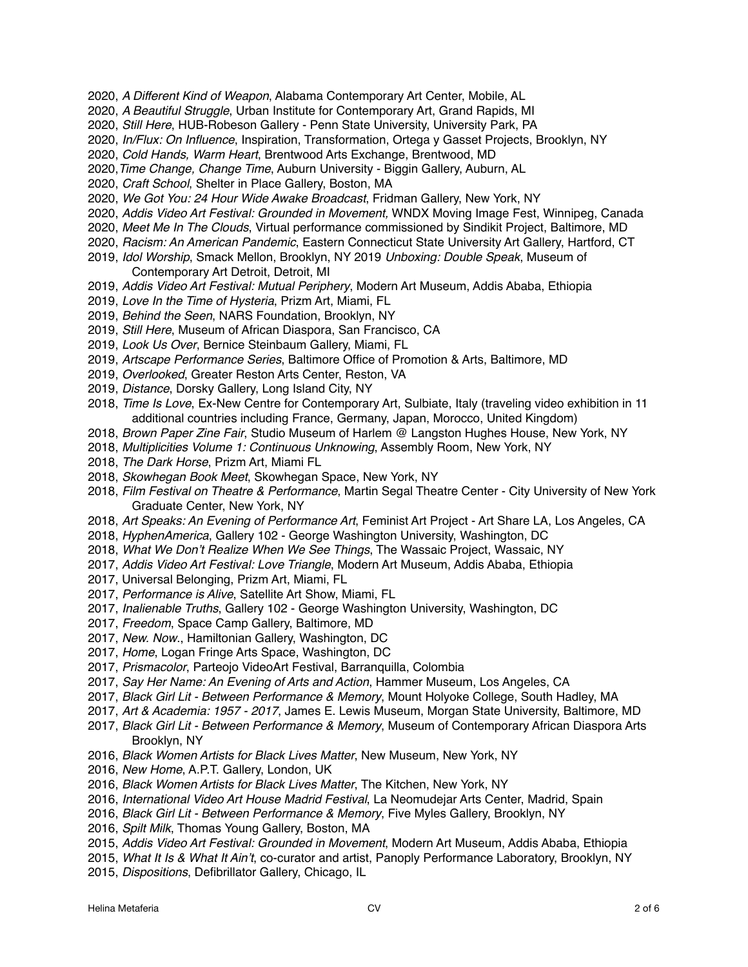- 2020, *A Different Kind of Weapon*, Alabama Contemporary Art Center, Mobile, AL
- 2020, *A Beautiful Struggle*, Urban Institute for Contemporary Art, Grand Rapids, MI
- 2020, *Still Here*, HUB-Robeson Gallery Penn State University, University Park, PA
- 2020, *In/Flux: On Influence*, Inspiration, Transformation, Ortega y Gasset Projects, Brooklyn, NY
- 2020, *Cold Hands, Warm Heart*, Brentwood Arts Exchange, Brentwood, MD
- 2020,*Time Change, Change Time*, Auburn University Biggin Gallery, Auburn, AL
- 2020, *Craft School*, Shelter in Place Gallery, Boston, MA
- 2020, *We Got You: 24 Hour Wide Awake Broadcast*, Fridman Gallery, New York, NY
- 2020, *Addis Video Art Festival: Grounded in Movement,* WNDX Moving Image Fest, Winnipeg, Canada
- 2020, *Meet Me In The Clouds*, Virtual performance commissioned by Sindikit Project, Baltimore, MD
- 2020, *Racism: An American Pandemic*, Eastern Connecticut State University Art Gallery, Hartford, CT
- 2019, *Idol Worship*, Smack Mellon, Brooklyn, NY 2019 *Unboxing: Double Speak*, Museum of Contemporary Art Detroit, Detroit, MI
- 2019, *Addis Video Art Festival: Mutual Periphery*, Modern Art Museum, Addis Ababa, Ethiopia
- 2019, *Love In the Time of Hysteria*, Prizm Art, Miami, FL
- 2019, *Behind the Seen*, NARS Foundation, Brooklyn, NY
- 2019, *Still Here*, Museum of African Diaspora, San Francisco, CA
- 2019, *Look Us Over*, Bernice Steinbaum Gallery, Miami, FL
- 2019, *Artscape Performance Series*, Baltimore Office of Promotion & Arts, Baltimore, MD
- 2019, *Overlooked*, Greater Reston Arts Center, Reston, VA
- 2019, *Distance*, Dorsky Gallery, Long Island City, NY
- 2018, *Time Is Love*, Ex-New Centre for Contemporary Art, Sulbiate, Italy (traveling video exhibition in 11 additional countries including France, Germany, Japan, Morocco, United Kingdom)
- 2018, *Brown Paper Zine Fair*, Studio Museum of Harlem @ Langston Hughes House, New York, NY
- 2018, *Multiplicities Volume 1: Continuous Unknowing*, Assembly Room, New York, NY
- 2018, *The Dark Horse*, Prizm Art, Miami FL
- 2018, *Skowhegan Book Meet*, Skowhegan Space, New York, NY
- 2018, *Film Festival on Theatre & Performance*, Martin Segal Theatre Center City University of New York Graduate Center, New York, NY
- 2018, *Art Speaks: An Evening of Performance Art*, Feminist Art Project Art Share LA, Los Angeles, CA
- 2018, *HyphenAmerica*, Gallery 102 George Washington University, Washington, DC
- 2018, *What We Don't Realize When We See Things*, The Wassaic Project, Wassaic, NY
- 2017, *Addis Video Art Festival: Love Triangle*, Modern Art Museum, Addis Ababa, Ethiopia
- 2017, Universal Belonging, Prizm Art, Miami, FL
- 2017, *Performance is Alive*, Satellite Art Show, Miami, FL
- 2017, *Inalienable Truths*, Gallery 102 George Washington University, Washington, DC
- 2017, *Freedom*, Space Camp Gallery, Baltimore, MD
- 2017, *New. Now*., Hamiltonian Gallery, Washington, DC
- 2017, *Home*, Logan Fringe Arts Space, Washington, DC
- 2017, *Prismacolor*, Parteojo VideoArt Festival, Barranquilla, Colombia
- 2017, *Say Her Name: An Evening of Arts and Action*, Hammer Museum, Los Angeles, CA
- 2017, *Black Girl Lit Between Performance & Memory*, Mount Holyoke College, South Hadley, MA
- 2017, *Art & Academia: 1957 2017*, James E. Lewis Museum, Morgan State University, Baltimore, MD
- 2017, *Black Girl Lit Between Performance & Memory*, Museum of Contemporary African Diaspora Arts Brooklyn, NY
- 2016, *Black Women Artists for Black Lives Matter*, New Museum, New York, NY
- 2016, *New Home*, A.P.T. Gallery, London, UK
- 2016, *Black Women Artists for Black Lives Matter*, The Kitchen, New York, NY
- 2016, *International Video Art House Madrid Festival*, La Neomudejar Arts Center, Madrid, Spain
- 2016, *Black Girl Lit Between Performance & Memory*, Five Myles Gallery, Brooklyn, NY
- 2016, *Spilt Milk*, Thomas Young Gallery, Boston, MA
- 2015, *Addis Video Art Festival: Grounded in Movement*, Modern Art Museum, Addis Ababa, Ethiopia
- 2015, *What It Is & What It Ain't*, co-curator and artist, Panoply Performance Laboratory, Brooklyn, NY
- 2015, *Dispositions*, Defibrillator Gallery, Chicago, IL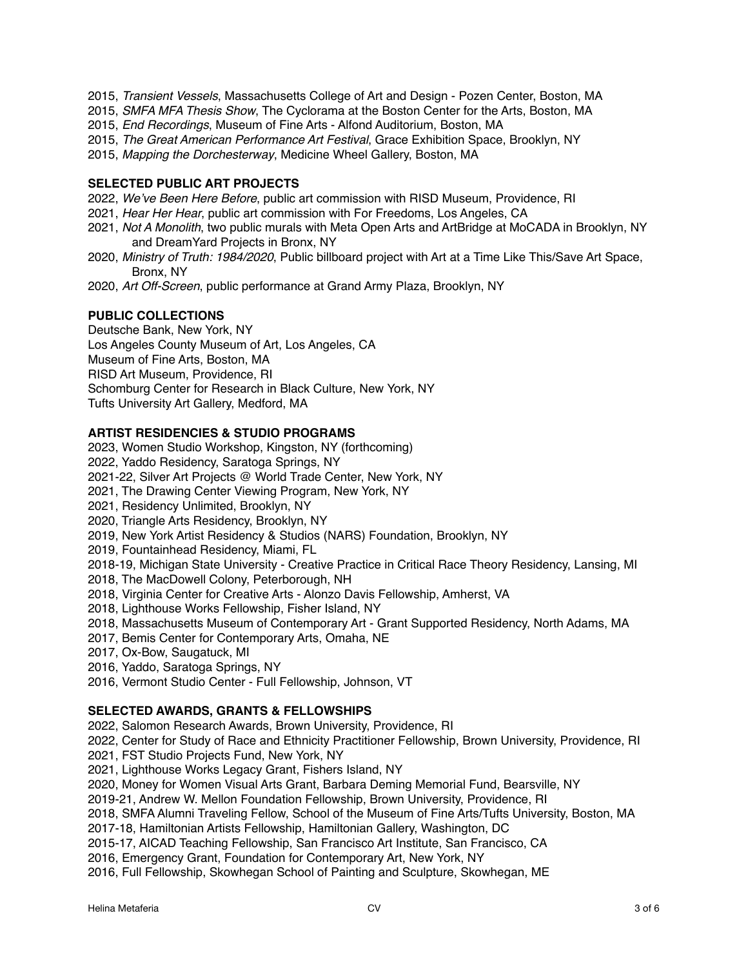- 2015, *Transient Vessels*, Massachusetts College of Art and Design Pozen Center, Boston, MA
- 2015, *SMFA MFA Thesis Show*, The Cyclorama at the Boston Center for the Arts, Boston, MA
- 2015, *End Recordings*, Museum of Fine Arts Alfond Auditorium, Boston, MA
- 2015, *The Great American Performance Art Festival*, Grace Exhibition Space, Brooklyn, NY
- 2015, *Mapping the Dorchesterway*, Medicine Wheel Gallery, Boston, MA

## **SELECTED PUBLIC ART PROJECTS**

- 2022, *We've Been Here Before*, public art commission with RISD Museum, Providence, RI
- 2021, *Hear Her Hear*, public art commission with For Freedoms, Los Angeles, CA
- 2021, *Not A Monolith*, two public murals with Meta Open Arts and ArtBridge at MoCADA in Brooklyn, NY and DreamYard Projects in Bronx, NY
- 2020, *Ministry of Truth: 1984/2020*, Public billboard project with Art at a Time Like This/Save Art Space, Bronx, NY
- 2020, *Art Off-Screen*, public performance at Grand Army Plaza, Brooklyn, NY

## **PUBLIC COLLECTIONS**

Deutsche Bank, New York, NY Los Angeles County Museum of Art, Los Angeles, CA Museum of Fine Arts, Boston, MA RISD Art Museum, Providence, RI Schomburg Center for Research in Black Culture, New York, NY Tufts University Art Gallery, Medford, MA

## **ARTIST RESIDENCIES & STUDIO PROGRAMS**

- 2023, Women Studio Workshop, Kingston, NY (forthcoming)
- 2022, Yaddo Residency, Saratoga Springs, NY
- 2021-22, Silver Art Projects @ World Trade Center, New York, NY
- 2021, The Drawing Center Viewing Program, New York, NY
- 2021, Residency Unlimited, Brooklyn, NY
- 2020, Triangle Arts Residency, Brooklyn, NY
- 2019, New York Artist Residency & Studios (NARS) Foundation, Brooklyn, NY
- 2019, Fountainhead Residency, Miami, FL
- 2018-19, Michigan State University Creative Practice in Critical Race Theory Residency, Lansing, MI
- 2018, The MacDowell Colony, Peterborough, NH
- 2018, Virginia Center for Creative Arts Alonzo Davis Fellowship, Amherst, VA
- 2018, Lighthouse Works Fellowship, Fisher Island, NY
- 2018, Massachusetts Museum of Contemporary Art Grant Supported Residency, North Adams, MA
- 2017, Bemis Center for Contemporary Arts, Omaha, NE
- 2017, Ox-Bow, Saugatuck, MI
- 2016, Yaddo, Saratoga Springs, NY
- 2016, Vermont Studio Center Full Fellowship, Johnson, VT

#### **SELECTED AWARDS, GRANTS & FELLOWSHIPS**

2022, Salomon Research Awards, Brown University, Providence, RI

2022, Center for Study of Race and Ethnicity Practitioner Fellowship, Brown University, Providence, RI

- 2021, FST Studio Projects Fund, New York, NY
- 2021, Lighthouse Works Legacy Grant, Fishers Island, NY

2020, Money for Women Visual Arts Grant, Barbara Deming Memorial Fund, Bearsville, NY

2019-21, Andrew W. Mellon Foundation Fellowship, Brown University, Providence, RI

2018, SMFA Alumni Traveling Fellow, School of the Museum of Fine Arts/Tufts University, Boston, MA

2017-18, Hamiltonian Artists Fellowship, Hamiltonian Gallery, Washington, DC

2015-17, AICAD Teaching Fellowship, San Francisco Art Institute, San Francisco, CA

2016, Emergency Grant, Foundation for Contemporary Art, New York, NY

2016, Full Fellowship, Skowhegan School of Painting and Sculpture, Skowhegan, ME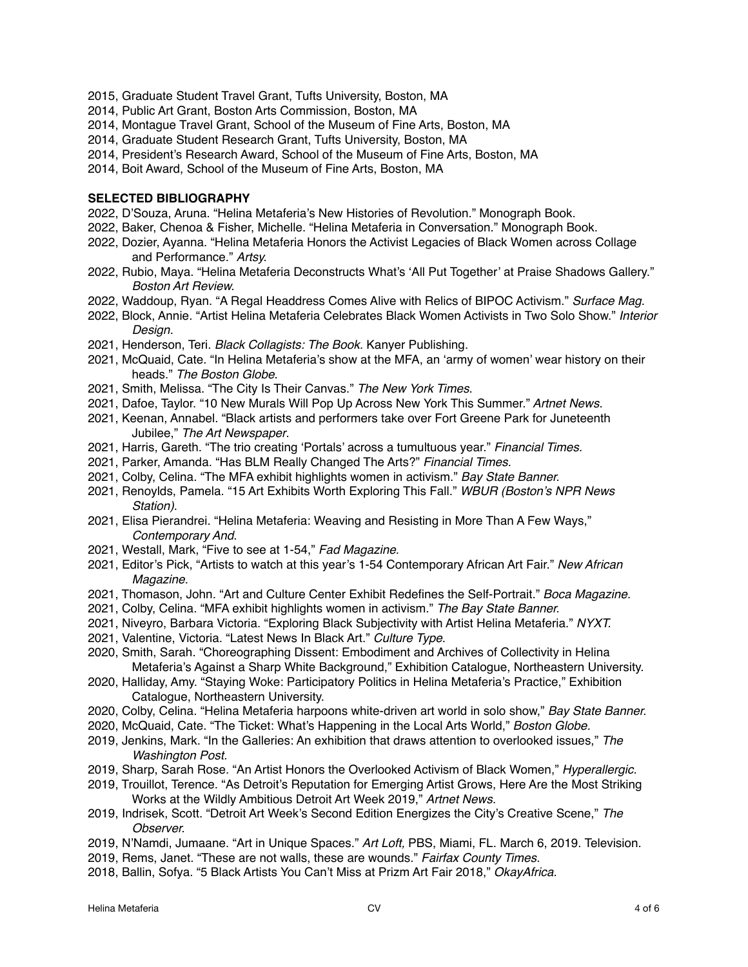- 2015, Graduate Student Travel Grant, Tufts University, Boston, MA
- 2014, Public Art Grant, Boston Arts Commission, Boston, MA
- 2014, Montague Travel Grant, School of the Museum of Fine Arts, Boston, MA
- 2014, Graduate Student Research Grant, Tufts University, Boston, MA
- 2014, President's Research Award, School of the Museum of Fine Arts, Boston, MA
- 2014, Boit Award, School of the Museum of Fine Arts, Boston, MA

#### **SELECTED BIBLIOGRAPHY**

- 2022, D'Souza, Aruna. "Helina Metaferia's New Histories of Revolution." Monograph Book.
- 2022, Baker, Chenoa & Fisher, Michelle. "Helina Metaferia in Conversation." Monograph Book.
- 2022, Dozier, Ayanna. "Helina Metaferia Honors the Activist Legacies of Black Women across Collage and Performance." *Artsy.*
- 2022, Rubio, Maya. "Helina Metaferia Deconstructs What's 'All Put Together' at Praise Shadows Gallery." *Boston Art Review.*
- 2022, Waddoup, Ryan. "A Regal Headdress Comes Alive with Relics of BIPOC Activism." *Surface Mag.*
- 2022, Block, Annie. "Artist Helina Metaferia Celebrates Black Women Activists in Two Solo Show." *Interior Design.*
- 2021, Henderson, Teri. *Black Collagists: The Book.* Kanyer Publishing.
- 2021, McQuaid, Cate. "In Helina Metaferia's show at the MFA, an 'army of women' wear history on their heads." *The Boston Globe*.
- 2021, Smith, Melissa. "The City Is Their Canvas." *The New York Times*.
- 2021, Dafoe, Taylor. "10 New Murals Will Pop Up Across New York This Summer." *Artnet News.*
- 2021, Keenan, Annabel. "Black artists and performers take over Fort Greene Park for Juneteenth Jubilee," *The Art Newspaper*.
- 2021, Harris, Gareth. "The trio creating 'Portals' across a tumultuous year." *Financial Times.*
- 2021, Parker, Amanda. "Has BLM Really Changed The Arts?" *Financial Times.*
- 2021, Colby, Celina. "The MFA exhibit highlights women in activism." *Bay State Banner.*
- 2021, Renoylds, Pamela. "15 Art Exhibits Worth Exploring This Fall." *WBUR (Boston's NPR News Station)*.
- 2021, Elisa Pierandrei. "Helina Metaferia: Weaving and Resisting in More Than A Few Ways," *Contemporary And*.
- 2021, Westall, Mark, "Five to see at 1-54," *Fad Magazine*.
- 2021, Editor's Pick, "Artists to watch at this year's 1-54 Contemporary African Art Fair." *New African Magazine.*
- 2021, Thomason, John. "Art and Culture Center Exhibit Redefines the Self-Portrait." *Boca Magazine.*
- 2021, Colby, Celina. "MFA exhibit highlights women in activism." *The Bay State Banner.*
- 2021, Niveyro, Barbara Victoria. "Exploring Black Subjectivity with Artist Helina Metaferia." *NYXT.*
- 2021, Valentine, Victoria. "Latest News In Black Art." *Culture Type*.
- 2020, Smith, Sarah. "Choreographing Dissent: Embodiment and Archives of Collectivity in Helina Metaferia's Against a Sharp White Background," Exhibition Catalogue, Northeastern University.
- 2020, Halliday, Amy. "Staying Woke: Participatory Politics in Helina Metaferia's Practice," Exhibition Catalogue, Northeastern University.
- 2020, Colby, Celina. "Helina Metaferia harpoons white-driven art world in solo show," *Bay State Banner.*
- 2020, McQuaid, Cate. "The Ticket: What's Happening in the Local Arts World," *Boston Globe.*
- 2019, Jenkins, Mark. "In the Galleries: An exhibition that draws attention to overlooked issues," *The Washington Post.*
- 2019, Sharp, Sarah Rose. "An Artist Honors the Overlooked Activism of Black Women," *Hyperallergic.*
- 2019, Trouillot, Terence. "As Detroit's Reputation for Emerging Artist Grows, Here Are the Most Striking Works at the Wildly Ambitious Detroit Art Week 2019," *Artnet News.*
- 2019, Indrisek, Scott. "Detroit Art Week's Second Edition Energizes the City's Creative Scene," *The Observer.*
- 2019, N'Namdi, Jumaane. "Art in Unique Spaces." *Art Loft,* PBS, Miami, FL. March 6, 2019. Television.
- 2019, Rems, Janet. "These are not walls, these are wounds." *Fairfax County Times.*
- 2018, Ballin, Sofya. "5 Black Artists You Can't Miss at Prizm Art Fair 2018," *OkayAfrica.*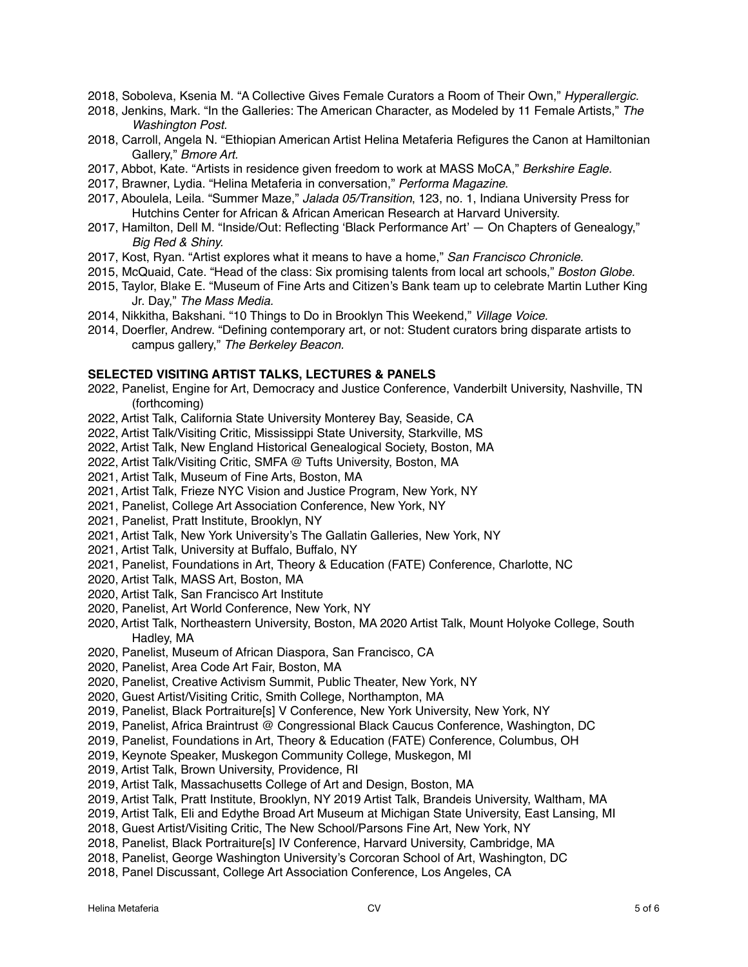- 2018, Soboleva, Ksenia M. "A Collective Gives Female Curators a Room of Their Own," *Hyperallergic.*
- 2018, Jenkins, Mark. "In the Galleries: The American Character, as Modeled by 11 Female Artists," *The Washington Post.*
- 2018, Carroll, Angela N. "Ethiopian American Artist Helina Metaferia Refigures the Canon at Hamiltonian Gallery," *Bmore Art.*
- 2017, Abbot, Kate. "Artists in residence given freedom to work at MASS MoCA," *Berkshire Eagle.*
- 2017, Brawner, Lydia. "Helina Metaferia in conversation," *Performa Magazine*.
- 2017, Aboulela, Leila. "Summer Maze," *Jalada 05/Transition*, 123, no. 1, Indiana University Press for Hutchins Center for African & African American Research at Harvard University.
- 2017, Hamilton, Dell M. "Inside/Out: Reflecting 'Black Performance Art' On Chapters of Genealogy," *Big Red & Shiny.*
- 2017, Kost, Ryan. "Artist explores what it means to have a home," *San Francisco Chronicle.*
- 2015, McQuaid, Cate. "Head of the class: Six promising talents from local art schools," *Boston Globe.*
- 2015, Taylor, Blake E. "Museum of Fine Arts and Citizen's Bank team up to celebrate Martin Luther King Jr. Day," *The Mass Media.*
- 2014, Nikkitha, Bakshani. "10 Things to Do in Brooklyn This Weekend," *Village Voice.*
- 2014, Doerfler, Andrew. "Defining contemporary art, or not: Student curators bring disparate artists to campus gallery," *The Berkeley Beacon.*

#### **SELECTED VISITING ARTIST TALKS, LECTURES & PANELS**

- 2022, Panelist, Engine for Art, Democracy and Justice Conference, Vanderbilt University, Nashville, TN (forthcoming)
- 2022, Artist Talk, California State University Monterey Bay, Seaside, CA
- 2022, Artist Talk/Visiting Critic, Mississippi State University, Starkville, MS
- 2022, Artist Talk, New England Historical Genealogical Society, Boston, MA
- 2022, Artist Talk/Visiting Critic, SMFA @ Tufts University, Boston, MA
- 2021, Artist Talk, Museum of Fine Arts, Boston, MA
- 2021, Artist Talk, Frieze NYC Vision and Justice Program, New York, NY
- 2021, Panelist, College Art Association Conference, New York, NY
- 2021, Panelist, Pratt Institute, Brooklyn, NY
- 2021, Artist Talk, New York University's The Gallatin Galleries, New York, NY
- 2021, Artist Talk, University at Buffalo, Buffalo, NY
- 2021, Panelist, Foundations in Art, Theory & Education (FATE) Conference, Charlotte, NC
- 2020, Artist Talk, MASS Art, Boston, MA
- 2020, Artist Talk, San Francisco Art Institute
- 2020, Panelist, Art World Conference, New York, NY
- 2020, Artist Talk, Northeastern University, Boston, MA 2020 Artist Talk, Mount Holyoke College, South Hadley, MA
- 2020, Panelist, Museum of African Diaspora, San Francisco, CA
- 2020, Panelist, Area Code Art Fair, Boston, MA
- 2020, Panelist, Creative Activism Summit, Public Theater, New York, NY
- 2020, Guest Artist/Visiting Critic, Smith College, Northampton, MA
- 2019, Panelist, Black Portraiture[s] V Conference, New York University, New York, NY
- 2019, Panelist, Africa Braintrust @ Congressional Black Caucus Conference, Washington, DC
- 2019, Panelist, Foundations in Art, Theory & Education (FATE) Conference, Columbus, OH
- 2019, Keynote Speaker, Muskegon Community College, Muskegon, MI
- 2019, Artist Talk, Brown University, Providence, RI
- 2019, Artist Talk, Massachusetts College of Art and Design, Boston, MA
- 2019, Artist Talk, Pratt Institute, Brooklyn, NY 2019 Artist Talk, Brandeis University, Waltham, MA
- 2019, Artist Talk, Eli and Edythe Broad Art Museum at Michigan State University, East Lansing, MI
- 2018, Guest Artist/Visiting Critic, The New School/Parsons Fine Art, New York, NY
- 2018, Panelist, Black Portraiture[s] IV Conference, Harvard University, Cambridge, MA
- 2018, Panelist, George Washington University's Corcoran School of Art, Washington, DC
- 2018, Panel Discussant, College Art Association Conference, Los Angeles, CA